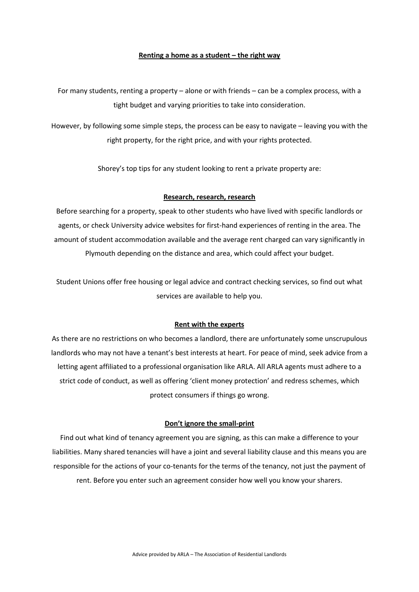# **Renting a home as a student – the right way**

For many students, renting a property – alone or with friends – can be a complex process, with a tight budget and varying priorities to take into consideration.

However, by following some simple steps, the process can be easy to navigate – leaving you with the right property, for the right price, and with your rights protected.

Shorey's top tips for any student looking to rent a private property are:

## **Research, research, research**

Before searching for a property, speak to other students who have lived with specific landlords or agents, or check University advice websites for first-hand experiences of renting in the area. The amount of student accommodation available and the average rent charged can vary significantly in Plymouth depending on the distance and area, which could affect your budget.

Student Unions offer free housing or legal advice and contract checking services, so find out what services are available to help you.

## **Rent with the experts**

As there are no restrictions on who becomes a landlord, there are unfortunately some unscrupulous landlords who may not have a tenant's best interests at heart. For peace of mind, seek advice from a letting agent affiliated to a professional organisation like ARLA. All ARLA agents must adhere to a strict code of conduct, as well as offering 'client money protection' and redress schemes, which protect consumers if things go wrong.

#### **Don't ignore the small-print**

Find out what kind of tenancy agreement you are signing, as this can make a difference to your liabilities. Many shared tenancies will have a joint and several liability clause and this means you are responsible for the actions of your co-tenants for the terms of the tenancy, not just the payment of rent. Before you enter such an agreement consider how well you know your sharers.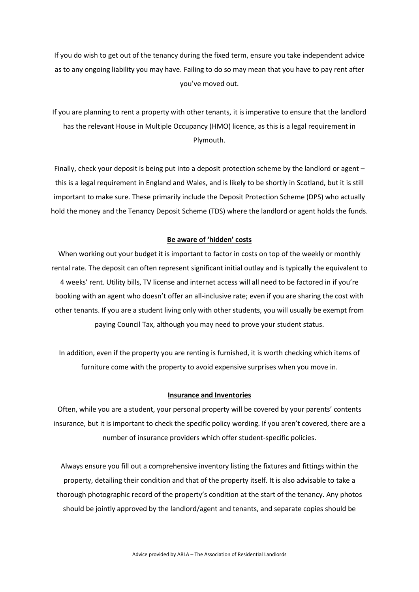If you do wish to get out of the tenancy during the fixed term, ensure you take independent advice as to any ongoing liability you may have. Failing to do so may mean that you have to pay rent after you've moved out.

If you are planning to rent a property with other tenants, it is imperative to ensure that the landlord has the relevant House in Multiple Occupancy (HMO) licence, as this is a legal requirement in Plymouth.

Finally, check your deposit is being put into a deposit protection scheme by the landlord or agent – this is a legal requirement in England and Wales, and is likely to be shortly in Scotland, but it is still important to make sure. These primarily include the Deposit Protection Scheme (DPS) who actually hold the money and the Tenancy Deposit Scheme (TDS) where the landlord or agent holds the funds.

# **Be aware of 'hidden' costs**

When working out your budget it is important to factor in costs on top of the weekly or monthly rental rate. The deposit can often represent significant initial outlay and is typically the equivalent to 4 weeks' rent. Utility bills, TV license and internet access will all need to be factored in if you're booking with an agent who doesn't offer an all-inclusive rate; even if you are sharing the cost with other tenants. If you are a student living only with other students, you will usually be exempt from paying Council Tax, although you may need to prove your student status.

In addition, even if the property you are renting is furnished, it is worth checking which items of furniture come with the property to avoid expensive surprises when you move in.

## **Insurance and Inventories**

Often, while you are a student, your personal property will be covered by your parents' contents insurance, but it is important to check the specific policy wording. If you aren't covered, there are a number of insurance providers which offer student-specific policies.

Always ensure you fill out a comprehensive inventory listing the fixtures and fittings within the property, detailing their condition and that of the property itself. It is also advisable to take a thorough photographic record of the property's condition at the start of the tenancy. Any photos should be jointly approved by the landlord/agent and tenants, and separate copies should be